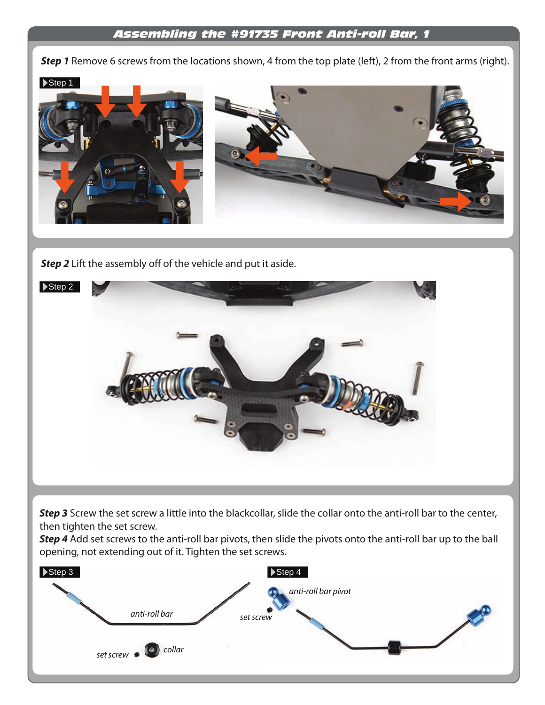## *Assembling the #91735 Front Anti-roll Bar, 1*

**Step 1** Remove 6 screws from the locations shown, 4 from the top plate (left), 2 from the front arms (right).



**Step 2** Lift the assembly off of the vehicle and put it aside.



**Step 3** Screw the set screw a little into the blackcollar, slide the collar onto the anti-roll bar to the center, then tighten the set screw.

*Step 4* Add set screws to the anti-roll bar pivots, then slide the pivots onto the anti-roll bar up to the ball opening, not extending out of it. Tighten the set screws.

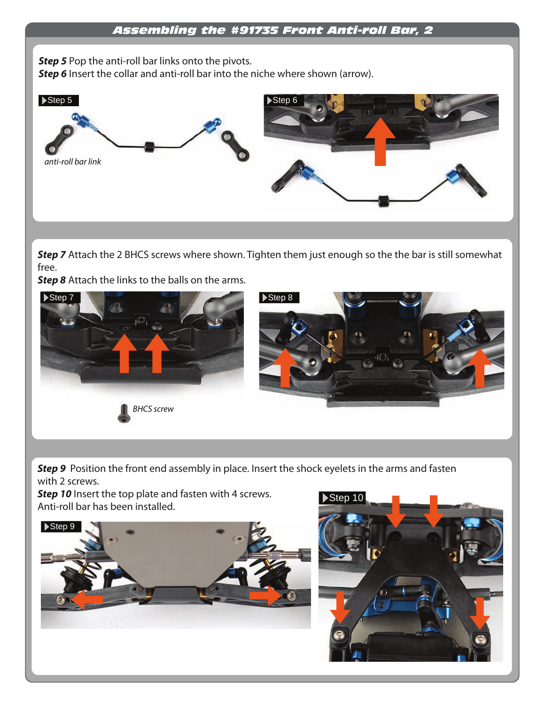**Step 5** Pop the anti-roll bar links onto the pivots. **Step 6** Insert the collar and anti-roll bar into the niche where shown (arrow).



**Step 7** Attach the 2 BHCS screws where shown. Tighten them just enough so the the bar is still somewhat free.

**Step 8** Attach the links to the balls on the arms.



**Step 9** Position the front end assembly in place. Insert the shock eyelets in the arms and fasten with 2 screws.

**Step 10** Insert the top plate and fasten with 4 screws. Anti-roll bar has been installed.



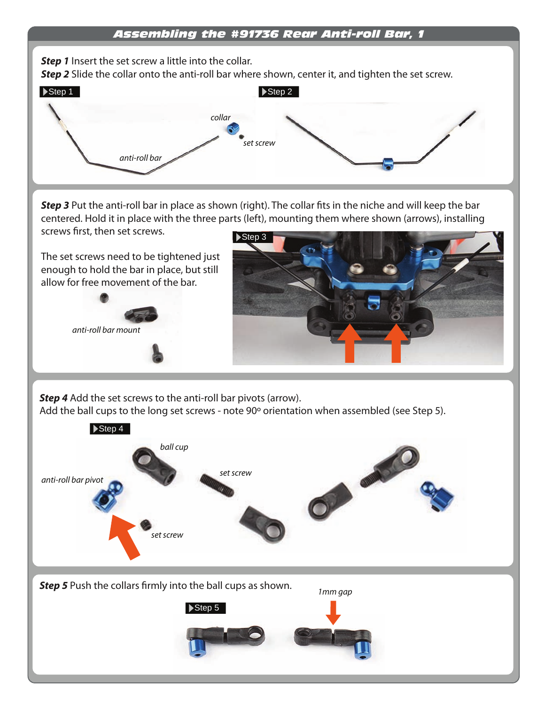## *Assembling the #91736 Rear Anti-roll Bar, 1*

**Step 1** Insert the set screw a little into the collar.

**Step 2** Slide the collar onto the anti-roll bar where shown, center it, and tighten the set screw.



**Step 3** Put the anti-roll bar in place as shown (right). The collar fits in the niche and will keep the bar centered. Hold it in place with the three parts (left), mounting them where shown (arrows), installing screws first, then set screws.

The set screws need to be tightened just enough to hold the bar in place, but still allow for free movement of the bar.





**Step 4** Add the set screws to the anti-roll bar pivots (arrow). Add the ball cups to the long set screws - note 90º orientation when assembled (see Step 5).